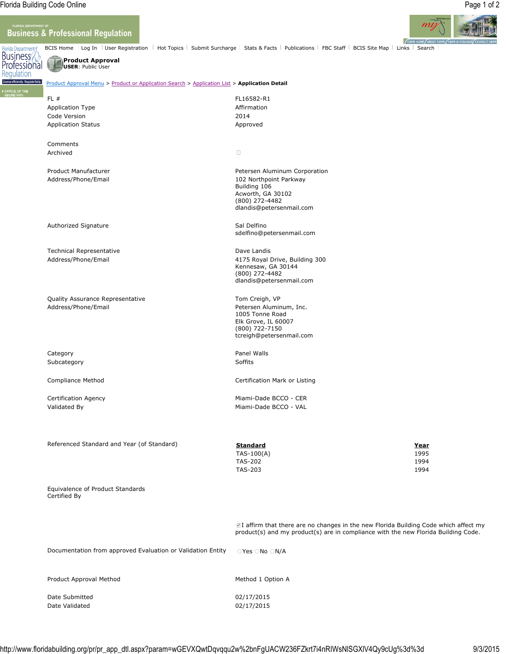License eff

## **Business & Professional Regulation**



**OBPR HOME ABOUT DBPR Florida Department** BCIS Home Log In | User Registration | Hot Topics | Submit Surcharge | Stats & Facts | Publications | FBC Staff | BCIS Site Map | Links | Search Business **Product Approval** Professional **USER**: Public User Regulation ently. Regulate fairly. Product Approval Menu > Product or Application Search > Application List > **Application Detail** FL # FL16582-R1 Application Type **Affirmation** Code Version 2014 Application Status **Application Status** Approved Comments Archived  $\Box$ Product Manufacturer **Petersen Aluminum Corporation** Petersen Aluminum Corporation Address/Phone/Email 102 Northpoint Parkway Building 106 Acworth, GA 30102 (800) 272-4482 dlandis@petersenmail.com Authorized Signature **Sal Delfino** Sal Delfino sdelfino@petersenmail.com Technical Representative **Dave Landis** Dave Landis Address/Phone/Email 4175 Royal Drive, Building 300 Kennesaw, GA 30144 (800) 272-4482 dlandis@petersenmail.com Quality Assurance Representative Tom Creigh, VP Address/Phone/Email **Address/Phone/Email** Petersen Aluminum, Inc. 1005 Tonne Road Elk Grove, IL 60007 (800) 722-7150 tcreigh@petersenmail.com Category **Panel Walls** Subcategory Subcategory Subcategory Subcategory Subcategory Subsets and Subsets of Subsets and Subsets and Subsets and Subsets and Subsets and Subsets and Subsets and Subsets and Subsets and Subsets and Subsets and Subsets Compliance Method Certification Mark or Listing Certification Agency **Miami-Dade BCCO - CER** Validated By **Miami-Dade BCCO - VAL** Referenced Standard and Year (of Standard) **Standard Year** TAS-100(A) 1995 TAS-202 1994 TAS-203 1994 Equivalence of Product Standards Certified By I affirm that there are no changes in the new Florida Building Code which affect my product(s) and my product(s) are in compliance with the new Florida Building Code. Documentation from approved Evaluation or Validation Entity QYes QNo QN/A

Product Approval Method Method Method 1 Option A

Date Submitted 02/17/2015 Date Validated 02/17/2015